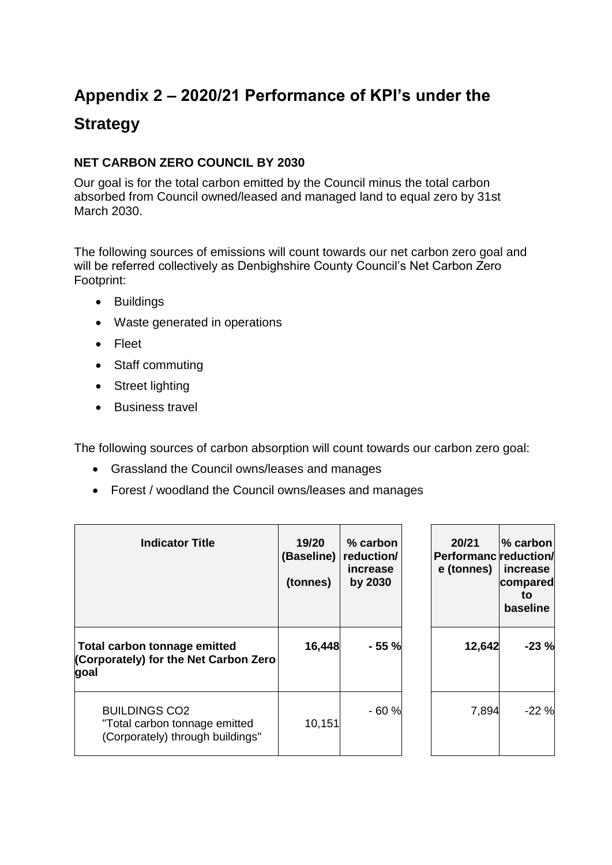## **Appendix 2 – 2020/21 Performance of KPI's under the Strategy**

## **NET CARBON ZERO COUNCIL BY 2030**

Our goal is for the total carbon emitted by the Council minus the total carbon absorbed from Council owned/leased and managed land to equal zero by 31st March 2030.

The following sources of emissions will count towards our net carbon zero goal and will be referred collectively as Denbighshire County Council's Net Carbon Zero Footprint:

- Buildings
- Waste generated in operations
- Fleet
- Staff commuting
- Street lighting
- **Business travel**

The following sources of carbon absorption will count towards our carbon zero goal:

- Grassland the Council owns/leases and manages
- Forest / woodland the Council owns/leases and manages

| <b>Indicator Title</b>                                                                    | 19/20<br>(Baseline)<br>(tonnes) | $%$ carbon<br>reduction/<br>increase<br>by 2030 | 20/21<br><b>Performanc</b> reduction/<br>e (tonnes) | $\%$ carbon<br>increase<br>compared<br>to<br>baseline |
|-------------------------------------------------------------------------------------------|---------------------------------|-------------------------------------------------|-----------------------------------------------------|-------------------------------------------------------|
| Total carbon tonnage emitted<br>(Corporately) for the Net Carbon Zero<br>goal             | 16,448                          | $-55%$                                          | 12,642                                              | $-23%$                                                |
| <b>BUILDINGS CO2</b><br>"Total carbon tonnage emitted<br>(Corporately) through buildings" | 10,151                          | $-60%$                                          | 7,894                                               | $-22%$                                                |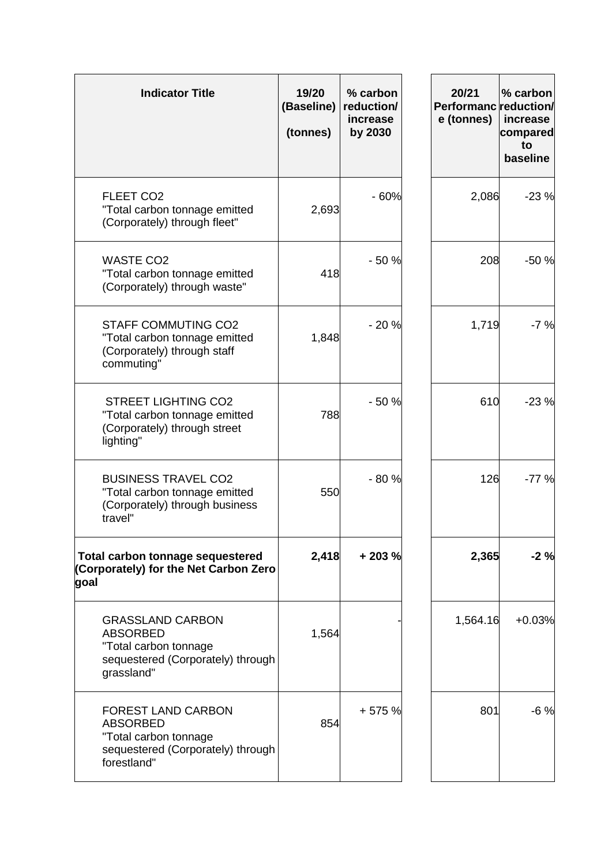| <b>Indicator Title</b>                                                                                                    | 19/20<br>(Baseline)<br>(tonnes) | % carbon<br>reduction/<br>increase<br>by 2030 | 20/21<br>Performanc reduction/<br>e (tonnes) | % carbon<br>increase<br>compared<br>to<br>baseline |
|---------------------------------------------------------------------------------------------------------------------------|---------------------------------|-----------------------------------------------|----------------------------------------------|----------------------------------------------------|
| FLEET CO <sub>2</sub><br>"Total carbon tonnage emitted<br>(Corporately) through fleet"                                    | 2,693                           | $-60%$                                        | 2,086                                        | $-23%$                                             |
| <b>WASTE CO2</b><br>"Total carbon tonnage emitted<br>(Corporately) through waste"                                         | 418                             | $-50%$                                        | 208                                          | $-50%$                                             |
| <b>STAFF COMMUTING CO2</b><br>"Total carbon tonnage emitted<br>(Corporately) through staff<br>commuting"                  | 1,848                           | $-20%$                                        | 1,719                                        | $-7%$                                              |
| <b>STREET LIGHTING CO2</b><br>"Total carbon tonnage emitted<br>(Corporately) through street<br>lighting"                  | 788                             | $-50%$                                        | 610                                          | $-23%$                                             |
| <b>BUSINESS TRAVEL CO2</b><br>"Total carbon tonnage emitted<br>(Corporately) through business<br>travel"                  | 550                             | $-80%$                                        | 126                                          | $-77%$                                             |
| <b>Total carbon tonnage sequestered</b><br>(Corporately) for the Net Carbon Zero<br>goal                                  | 2,418                           | $+203%$                                       | 2,365                                        | $-2%$                                              |
| <b>GRASSLAND CARBON</b><br><b>ABSORBED</b><br>"Total carbon tonnage<br>sequestered (Corporately) through<br>grassland"    | 1,564                           |                                               | 1,564.16                                     | $+0.03%$                                           |
| <b>FOREST LAND CARBON</b><br><b>ABSORBED</b><br>"Total carbon tonnage<br>sequestered (Corporately) through<br>forestland" | 854                             | +575 %                                        | 801                                          | $-6%$                                              |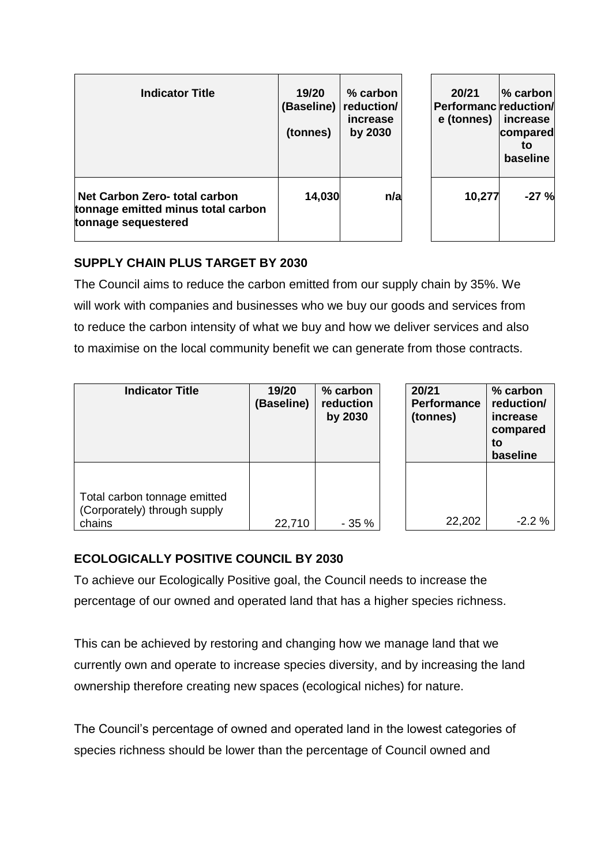| <b>Indicator Title</b>                                                                     | 19/20<br>(Baseline)<br>(tonnes) | $%$ carbon<br>reduction/<br><i>increase</i><br>by 2030 | 20/21<br>Performanc reduction/<br>e (tonnes) | l% carbon<br>increase<br>compared<br>to<br>baseline |
|--------------------------------------------------------------------------------------------|---------------------------------|--------------------------------------------------------|----------------------------------------------|-----------------------------------------------------|
| Net Carbon Zero- total carbon<br>tonnage emitted minus total carbon<br>tonnage sequestered | 14,030                          | n/a                                                    | 10,277                                       | $-27%$                                              |

## **SUPPLY CHAIN PLUS TARGET BY 2030**

The Council aims to reduce the carbon emitted from our supply chain by 35%. We will work with companies and businesses who we buy our goods and services from to reduce the carbon intensity of what we buy and how we deliver services and also to maximise on the local community benefit we can generate from those contracts.

| <b>Indicator Title</b>                                                 | 19/20<br>(Baseline) | % carbon<br>reduction<br>by 2030 | 20/21<br><b>Performance</b><br>(tonnes) | % carbon<br>reduction/<br>increase<br>compared<br>to<br>baseline |
|------------------------------------------------------------------------|---------------------|----------------------------------|-----------------------------------------|------------------------------------------------------------------|
| Total carbon tonnage emitted<br>(Corporately) through supply<br>chains | 22,710              | $-35%$                           | 22,202                                  | $-2.2%$                                                          |

## **ECOLOGICALLY POSITIVE COUNCIL BY 2030**

To achieve our Ecologically Positive goal, the Council needs to increase the percentage of our owned and operated land that has a higher species richness.

This can be achieved by restoring and changing how we manage land that we currently own and operate to increase species diversity, and by increasing the land ownership therefore creating new spaces (ecological niches) for nature.

The Council's percentage of owned and operated land in the lowest categories of species richness should be lower than the percentage of Council owned and